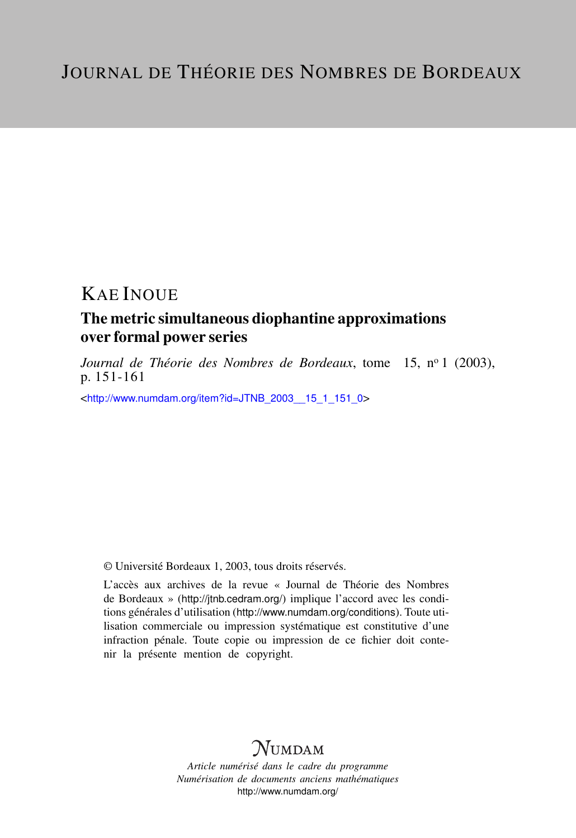# KAE INOUE

### The metric simultaneous diophantine approximations over formal power series

Journal de Théorie des Nombres de Bordeaux, tome 15, nº 1 (2003), p. 151-161

<[http://www.numdam.org/item?id=JTNB\\_2003\\_\\_15\\_1\\_151\\_0](http://www.numdam.org/item?id=JTNB_2003__15_1_151_0)>

© Université Bordeaux 1, 2003, tous droits réservés.

L'accès aux archives de la revue « Journal de Théorie des Nombres de Bordeaux » (<http://jtnb.cedram.org/>) implique l'accord avec les conditions générales d'utilisation (<http://www.numdam.org/conditions>). Toute utilisation commerciale ou impression systématique est constitutive d'une infraction pénale. Toute copie ou impression de ce fichier doit contenir la présente mention de copyright.

# **NUMDAM**

*Article numérisé dans le cadre du programme Numérisation de documents anciens mathématiques* <http://www.numdam.org/>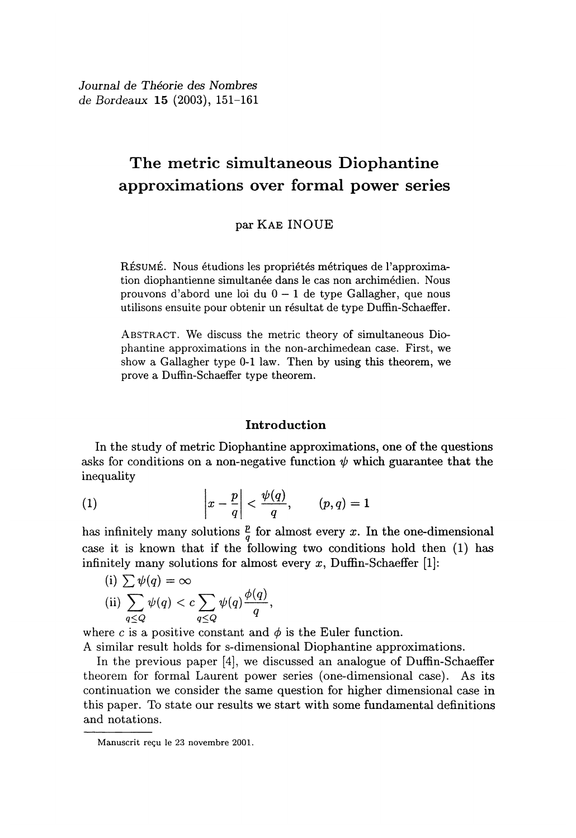Journal de Théorie des Nombres de Bordeaux  $15(2003)$ , 151-161

### The metric simultaneous Diophantine approximations over formal power series

par KAE INOUE

RÉSUMÉ. Nous étudions les propriétés métriques de l'approximation diophantienne simultanée dans le cas non archimédien. Nous prouvons d'abord une loi du  $0 - 1$  de type Gallagher, que nous utilisons ensuite pour obtenir un résultat de type Duffin- Schaeffer.

ABSTRACT. We discuss the metric theory of simultaneous Diophantine approximations in the non-archimedean case. First, we show a Gallagher type 0-1 law. Then by using this theorem, we prove a Duffin-Schaeffer type theorem.

### Introduction

In the study of metric Diophantine approximations, one of the questions asks for conditions on a non-negative function  $\psi$  which guarantee that the  $\text{inequality}$   $\downarrow$   $\uparrow$   $\downarrow$   $\downarrow$   $\downarrow$   $\downarrow$   $\downarrow$   $\downarrow$   $\downarrow$   $\downarrow$   $\downarrow$   $\downarrow$   $\downarrow$   $\downarrow$   $\downarrow$   $\downarrow$   $\downarrow$   $\downarrow$   $\downarrow$   $\downarrow$   $\downarrow$   $\downarrow$   $\downarrow$   $\downarrow$   $\downarrow$   $\downarrow$   $\downarrow$   $\downarrow$   $\downarrow$   $\downarrow$   $\downarrow$   $\downarrow$   $\downarrow$   $\downarrow$   $\downarrow$   $\$ 

(1) 
$$
\left|x-\frac{p}{q}\right|<\frac{\psi(q)}{q}, \qquad (p,q)=1
$$

has infinitely many solutions  $\frac{p}{q}$  for almost every x. In the one-dimensional case it is known that if the following two conditions hold then (1) has infinitely many solutions for almost every  $x$ , Duffin-Schaeffer [1]:

(i) 
$$
\sum \psi(q) = \infty
$$
  
\n(ii)  $\sum_{q \le Q} \psi(q) < c \sum_{q \le Q} \psi(q) \frac{\phi(q)}{q}$ ,

where c is a positive constant and  $\phi$  is the Euler function.

A similar result holds for s-dimensional Diophantine approximations.

In the previous paper [4], we discussed an analogue of Duffin-Schaeffer theorem for formal Laurent power series (one-dimensional case). As its continuation we consider the same question for higher dimensional case in this paper. To state our results we start with some fundamental definitions and notations.

Manuscrit regu le 23 novembre 2001.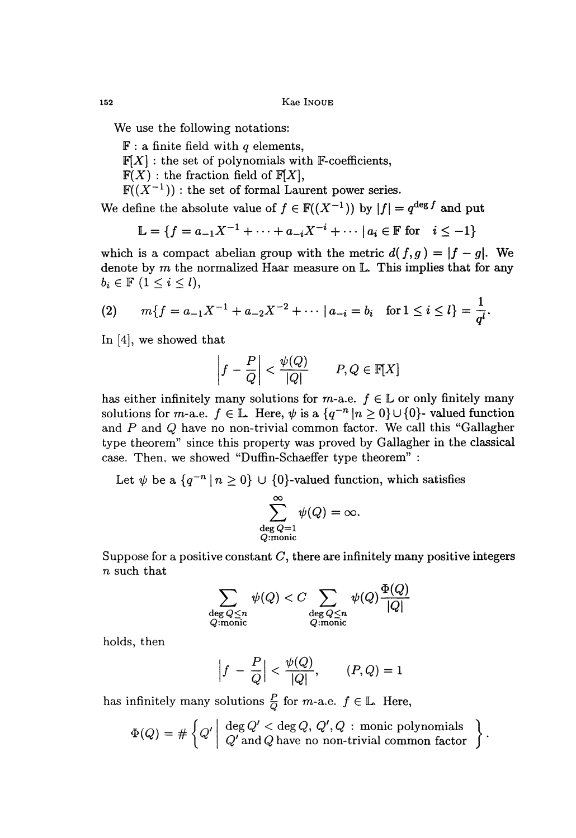Kae INOUE

We use the following notations:

 $\mathbb{F}$ : a finite field with q elements,  $F[X]$ : the set of polynomials with F-coefficients,  $F(X)$ : the fraction field of  $F[X]$ ,  $\mathbb{F}((X^{-1}))$  : the set of formal Laurent power series.

We define the absolute value of  $f \in \mathbb{F}((X^{-1}))$  by  $|f| = q^{\deg f}$  and put

$$
\mathbb{L} = \{ f = a_{-1}X^{-1} + \dots + a_{-i}X^{-i} + \dots \mid a_i \in \mathbb{F} \text{ for } i \leq -1 \}
$$

which is a compact abelian group with the metric  $d(f,g) = |f - g|$ . We denote by  $m$  the normalized Haar measure on  $\mathbb{L}$ . This implies that for any  $b_i \in \mathbb{F}$   $(1 \leq i \leq l),$ 

(2) 
$$
m\{f = a_{-1}X^{-1} + a_{-2}X^{-2} + \cdots \mid a_{-i} = b_i \text{ for } 1 \leq i \leq l\} = \frac{1}{q^l}.
$$

In [4], we showed that

$$
\left|f - \frac{P}{Q}\right| < \frac{\psi(Q)}{|Q|} \qquad P, Q \in \mathbb{F}[X]
$$

has either infinitely many solutions for m-a.e.  $f \in \mathbb{L}$  or only finitely many solutions for *m*-a.e.  $f \in \mathbb{L}$ . Here,  $\psi$  is a  $\{q^{-n} | n \geq 0\} \cup \{0\}$ - valued function and P and Q have no non-trivial common factor. We call this "Gallagher type theorem" since this property was proved by Gallagher in the classical case. Then, we showed "Duffin-Schaeffer type theorem" :

Let  $\psi$  be a  $\{q^{-n} | n \geq 0\} \cup \{0\}$ -valued function, which satisfies

$$
\sum_{\substack{\deg Q=1\\Q:\text{monic}}}^{\infty}\psi(Q)=\infty.
$$

Suppose for a positive constant  $C$ , there are infinitely many positive integers  $n$  such that

$$
\sum_{\substack{\deg{Q} \leq n \\ Q \colon \text{monic}}} \psi(Q) < C \sum_{\substack{\deg{Q} \leq n \\ Q \colon \text{monic}}} \psi(Q) \frac{\Phi(Q)}{|Q|}
$$

holds, then

$$
\left|f - \frac{P}{Q}\right| < \frac{\psi(Q)}{|Q|}, \qquad (P, Q) = 1
$$

has infinitely many solutions  $\frac{P}{Q}$  for *m*-a.e.  $f \in \mathbb{L}$ . Here,

$$
\Phi(Q) = \# \left\{ Q' \middle| \begin{array}{l} \deg Q' < \deg Q, Q', Q : \text{monic polynomials} \\ Q' \text{ and } Q \text{ have no non-trivial common factor} \end{array} \right\}.
$$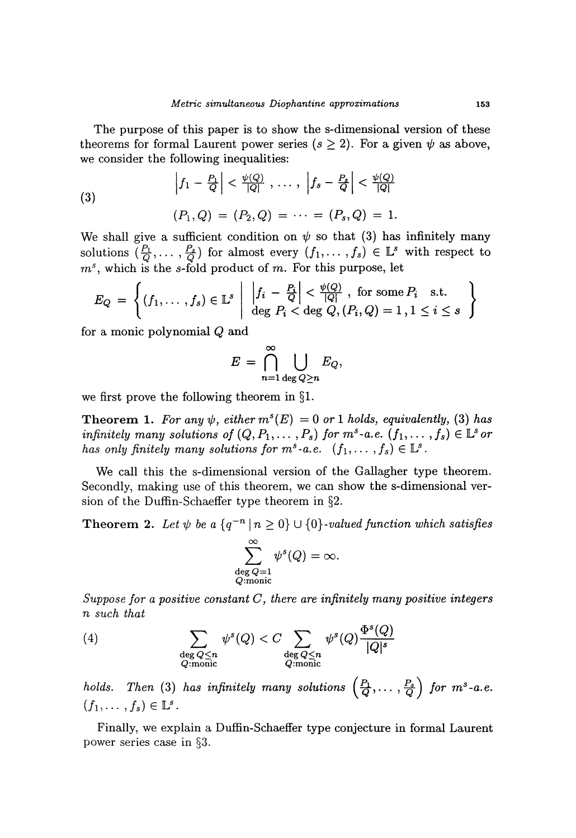The purpose of this paper is to show the s-dimensional version of these theorems for formal Laurent power series ( $s \geq 2$ ). For a given  $\psi$  as above, we consider the following inequalities:

(3)  

$$
\left|f_1 - \frac{P_1}{Q}\right| < \frac{\psi(Q)}{|Q|}, \dots, \left|f_s - \frac{P_s}{Q}\right| < \frac{\psi(Q)}{|Q|}
$$

$$
(P_1, Q) = (P_2, Q) = \dots = (P_s, Q) = 1.
$$

We shall give a sufficient condition on  $\psi$  so that (3) has infinitely many solutions  $(\frac{P_1}{Q}, \ldots, \frac{P_s}{Q})$  for almost every  $(f_1, \ldots, f_s) \in \mathbb{L}^s$  with respect to  $m<sup>s</sup>$ , which is the s-fold product of m. For this purpose, let

$$
E_Q = \left\{ (f_1, \ldots, f_s) \in \mathbb{L}^s \middle| \left| \frac{|f_i - \frac{P_i}{Q}|}{\deg P_i} < \frac{\psi(Q)}{|Q|}, \text{ for some } P_i \text{ s.t. } \deg P_i < \deg Q, (P_i, Q) = 1, 1 \leq i \leq s \right| \right\}
$$

for a monic polynomial Q and

$$
E = \bigcap_{n=1}^{\infty} \bigcup_{\deg Q \geq n} E_Q,
$$

we first prove the following theorem in §1.

**Theorem 1.** For any  $\psi$ , either  $m^s(E) = 0$  or 1 holds, equivalently, (3) has infinitely many solutions of  $(Q, P_1, \ldots, P_s)$  for  $m^s$ -a.e.  $(f_1, \ldots, f_s) \in \mathbb{L}^s$  or has only finitely many solutions for  $m^s$ -a.e.  $(f_1,\ldots,f_s) \in \mathbb{L}^s$ .

We call this the s-dimensional version of the Gallagher type theorem. Secondly, making use of this theorem, we can show the s-dimensional version of the Duffin-Schaeffer type theorem in  $\S 2$ .

**Theorem 2.** Let  $\psi$  be a  $\{q^{-n} | n \geq 0\} \cup \{0\}$ -valued function which satisfies

$$
\sum_{\substack{\deg{Q}=1 \\ Q \textrm{:monic}}}^{\infty} \psi^s(Q) = \infty.
$$

Suppose for a positive constant  $C$ , there are infinitely many positive integers n such that

(4) 
$$
\sum_{\substack{\deg Q \le n \\ Q \text{ :monic}}} \psi^s(Q) < C \sum_{\substack{\deg Q \le n \\ Q \text{ :monic}}} \psi^s(Q) \frac{\Phi^s(Q)}{|Q|^s}
$$

holds. Then (3) has infinitely many solutions  $\left(\frac{P_1}{Q},\ldots,\frac{P_s}{Q}\right)$  for  $m^s$ -a.e.  $(f_1, \ldots, f_s) \in \mathbb{L}^s$ .

Finally, we explain a Duffin-Schaeffer type conjecture in formal Laurent power series case in §3.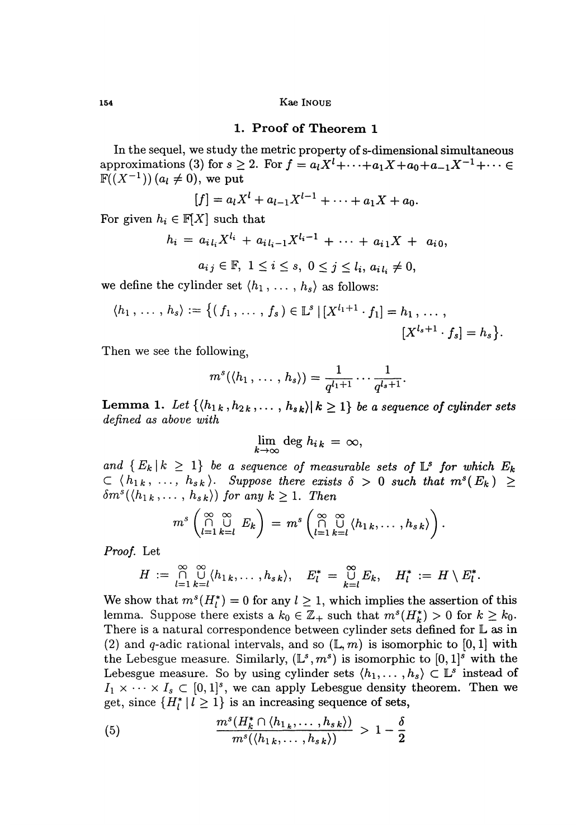Kae INOUE

#### 1. Proof of Theorem 1

In the sequel, we study the metric property of s-dimensional simultaneous approximations (3) for  $s \ge 2$ . For  $f = a_1 X^1 + \cdots + a_1 X + a_0 + a_{-1} X^{-1} + \cdots$  $\mathbb{F}((X^{-1}))$   $(a_i \neq 0)$ , we put

$$
[f] = a_l X^l + a_{l-1} X^{l-1} + \cdots + a_1 X + a_0.
$$

For given  $h_i \in \mathbb{F}[X]$  such that

$$
h_i = a_{i l_i} X^{l_i} + a_{i l_i - 1} X^{l_i - 1} + \cdots + a_{i 1} X + a_{i 0},
$$

$$
a_{ij} \in \mathbb{F}, \ 1 \leq i \leq s, \ 0 \leq j \leq l_i, \ a_{i\,l_i} \neq 0,
$$

we define the cylinder set  $\langle h_1, \ldots, h_s \rangle$  as follows:

$$
\langle h_1, \ldots, h_s \rangle := \left\{ (f_1, \ldots, f_s) \in \mathbb{L}^s \, | \, [X^{l_1+1} \cdot f_1] = h_1, \ldots, \right\}
$$

$$
[X^{l_s+1} \cdot f_s] = h_s \right\}.
$$

Then we see the following,

$$
m^s(\langle h_1,\ldots,h_s\rangle)=\frac{1}{q^{l_1+1}}\cdots\frac{1}{q^{l_s+1}}.
$$

**Lemma 1.** Let  $\{\langle h_{1k}, h_{2k}, \ldots, h_{sk} \rangle | k \geq 1\}$  be a sequence of cylinder sets defined as above with

$$
\lim_{k\to\infty}\deg h_{ik}=\infty,
$$

and  $\{E_k | k \geq 1\}$  be a sequence of measurable sets of  $\mathbb{L}^s$  for which  $E_k$  $\subset \langle h_{1k}, \ldots, h_{sk} \rangle$ . Suppose there exists  $\delta > 0$  such that  $m^{s}(E_k) \geq$  $\delta m^s(\langle h_{1k},\ldots,h_{sk}\rangle)$  for any  $k\geq 1$ . Then

$$
m^s\left(\bigcap_{l=1}^{\infty}\bigcup_{k=l}^{\infty}E_k\right)=m^s\left(\bigcap_{l=1}^{\infty}\bigcup_{k=l}^{\infty}\langle h_{1k},\ldots,h_{sk}\rangle\right).
$$

Proof. Let

$$
H := \bigcap_{l=1}^{\infty} \bigcup_{k=l}^{\infty} \langle h_{1k}, \ldots, h_{sk} \rangle, \quad E_l^* = \bigcup_{k=l}^{\infty} E_k, \quad H_l^* := H \setminus E_l^*.
$$

We show that  $m^s(H_l^*) = 0$  for any  $l \geq 1$ , which implies the assertion of this lemma. Suppose there exists a  $k_0 \in \mathbb{Z}_+$  such that  $m^s(H^*_k) > 0$  for  $k \geq k_0$ . There is a natural correspondence between cylinder sets defined for  $L$  as in (2) and q-adic rational intervals, and so  $(L, m)$  is isomorphic to [0, 1] with the Lebesgue measure. Similarly,  $(\mathbb{L}^s, m^s)$  is isomorphic to  $[0, 1]^s$  with the Lebesgue measure. So by using cylinder sets  $\langle h_1, \ldots, h_s \rangle \subset \mathbb{L}^s$  instead of  $I_1 \times \cdots \times I_s \subset [0,1]^s$ , we can apply Lebesgue density theorem. Then we get, since  $\{H_l^*\mid l\geq 1\}$  is an increasing sequence of sets,

(5) 
$$
\frac{m^s(H_k^*\cap \langle h_{1_k},\ldots,h_{sk}\rangle)}{m^s(\langle h_{1k},\ldots,h_{sk}\rangle)} > 1-\frac{\delta}{2}
$$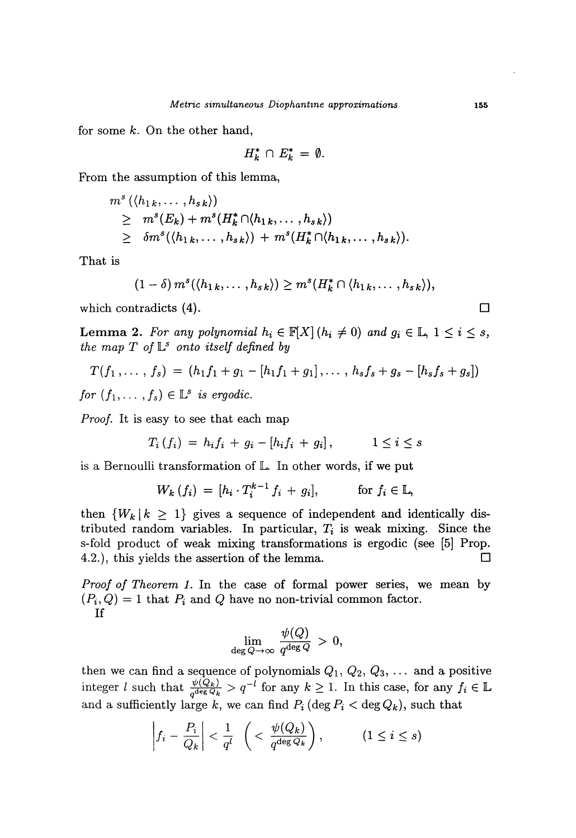for some  $k$ . On the other hand,

$$
H_k^* \cap E_k^* = \emptyset.
$$

From the assumption of this lemma,

$$
ms (\langle h_{1 k},..., h_{s k} \rangle)
$$
  
\n
$$
\geq ms(Ek) + ms(Hk* \cap \langle h_{1 k},..., h_{s k} \rangle)
$$
  
\n
$$
\geq \delta ms(\langle h_{1 k},..., h_{s k} \rangle) + ms(Hk* \cap \langle h_{1 k},..., h_{s k} \rangle).
$$

That is

$$
(1-\delta) m^s(\langle h_{1k},\ldots,h_{sk}\rangle) \geq m^s(H_k^* \cap \langle h_{1k},\ldots,h_{sk}\rangle),
$$

which contradicts  $(4)$ .

**Lemma 2.** For any polynomial  $h_i \in \mathbb{F}[X]$   $(h_i \neq 0)$  and  $g_i \in \mathbb{L}$ ,  $1 \leq i \leq s$ , the map  $T$  of  $\mathbb{L}^s$  onto itself defined by

$$
T(f_1,\ldots,f_s) = (h_1f_1+g_1-[h_1f_1+g_1],\ldots,h_sf_s+g_s-[h_sf_s+g_s])
$$

for  $(f_1, \ldots, f_s) \in \mathbb{L}^s$  is ergodic.

Proof. It is easy to see that each map

$$
T_i(f_i) = h_i f_i + g_i - [h_i f_i + g_i], \qquad 1 \leq i \leq s
$$

is a Bernoulli transformation of L. In other words, if we put

$$
W_k(f_i) = [h_i \cdot T_i^{k-1} f_i + g_i], \quad \text{for } f_i \in \mathbb{L},
$$

then  $\{W_k | k \geq 1\}$  gives a sequence of independent and identically distributed random variables. In particular,  $T_i$  is weak mixing. Since the s-fold product of weak mixing transformations is ergodic (see [5] Prop. 4.2.), this yields the assertion of the lemma.  $\Box$ 

Proof of Theorem 1. In the case of formal power series, we mean by  $(P_i, Q) = 1$  that  $P_i$  and  $Q$  have no non-trivial common factor. If

$$
\lim_{\deg Q \to \infty} \frac{\psi(Q)}{q^{\deg Q}} \, > \, 0,
$$

then we can find a sequence of polynomials  $Q_1, Q_2, Q_3, \ldots$  and a positive integer l such that  $\frac{\psi(Q_k)}{q^{\deg Q_k}} > q^{-l}$  for any  $k \geq 1$ . In this case, for any  $f_i \in \mathbb{L}$ and a sufficiently large k, we can find  $P_i$  (deg  $P_i <$  deg  $Q_k$ ), such that

$$
\left|f_i - \frac{P_i}{Q_k}\right| < \frac{1}{q^l} \left( < \frac{\psi(Q_k)}{q^{\deg Q_k}}\right), \quad (1 \leq i \leq s)
$$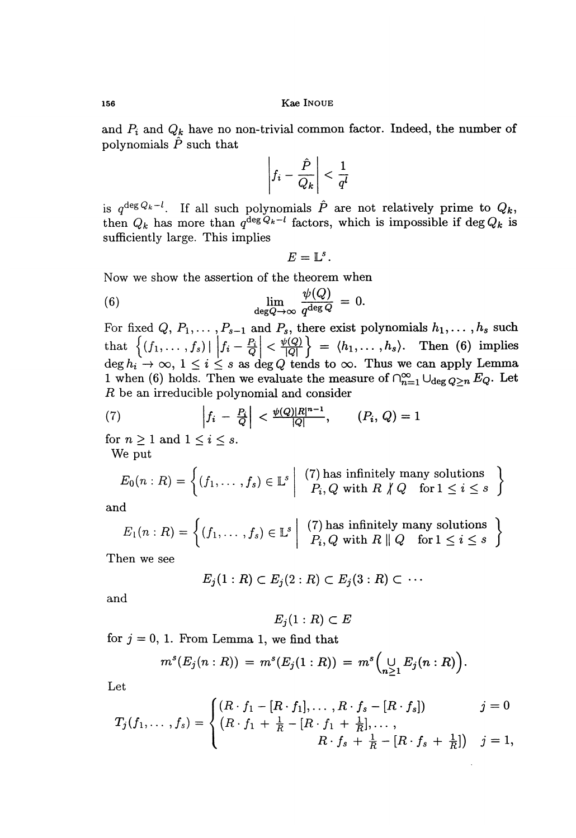and  $P_i$  and  $Q_k$  have no non-trivial common factor. Indeed, the number of polynomials  $\hat{P}$  such that

$$
\left|f_i - \frac{\hat{P}}{Q_k}\right| < \frac{1}{q^l}
$$

is  $q^{\deg Q_k-l}$ . If all such polynomials  $\hat{P}$  are not relatively prime to  $Q_k$ . then  $Q_k$  has more than  $q^{\deg Q_k - l}$  factors, which is impossible if  $\deg Q_k$  is sufficiently large. This implies  $\begin{aligned} &\text{mials} \enspace P \ &\text{factors} \ &E = \mathbb{L}^s. \end{aligned}$ 

$$
E=\mathbb{L}^s.
$$

Now we show the assertion of the theorem when

(6) 
$$
\lim_{\deg Q \to \infty} \frac{\psi(Q)}{q^{\deg Q}} = 0.
$$

For fixed  $Q, P_1, \ldots, P_{s-1}$  and  $P_s$ , there exist polynomials  $h_1, \ldots, h_s$  such that  $\{(f_1,\ldots,f_s) | |f_i-\frac{P_i}{Q}| < \frac{\psi(Q)}{|Q|}\}\ =\ \langle h_1,\ldots,h_s\rangle.$  Then (6) implies  $\deg h_i \to \infty$ ,  $1 \leq i \leq s$  as  $\deg Q$  tends to  $\infty$ . Thus we can apply Lemma 1 when (6) holds. Then we evaluate the measure of  $\bigcap_{n=1}^{\infty} \bigcup_{\deg Q>n} E_Q$ . Let R be an irreducible polynomial and consider

(7) 
$$
\left|f_i - \frac{P_i}{Q}\right| < \frac{\psi(Q)|R|^{n-1}}{|Q|}, \qquad (P_i, Q) = 1
$$

for  $n \geq 1$  and  $1 \leq i \leq s$ . We put

$$
E_0(n:R) = \left\{ (f_1, \ldots, f_s) \in \mathbb{L}^s \middle| \begin{array}{c} (7) \text{ has infinitely many solutions} \\ P_i, Q \text{ with } R \nmid Q \text{ for } 1 \leq i \leq s \end{array} \right\}
$$

and

$$
E_1(n:R) = \left\{ (f_1, \ldots, f_s) \in \mathbb{L}^s \middle| \begin{array}{c} (7) \text{ has infinitely many solutions} \\ P_i, Q \text{ with } R \parallel Q \text{ for } 1 \leq i \leq s \end{array} \right\}
$$

Then we see

$$
E_j(1:R)\subset E_j(2:R)\subset E_j(3:R)\subset\cdots
$$

and

$$
E_j(1:R)\subset E
$$

for  $j = 0, 1$ . From Lemma 1, we find that

$$
m^{s}(E_{j}(n:R)) = m^{s}(E_{j}(1:R)) = m^{s}(\bigcup_{n \geq 1} E_{j}(n:R)).
$$

Let

$$
T_j(f_1,\ldots,f_s) = \begin{cases} (R \cdot f_1 - [R \cdot f_1], \ldots, R \cdot f_s - [R \cdot f_s]) & j = 0 \\ (R \cdot f_1 + \frac{1}{R} - [R \cdot f_1 + \frac{1}{R}], \ldots, \\ & R \cdot f_s + \frac{1}{R} - [R \cdot f_s + \frac{1}{R}]) & j = 1, \end{cases}
$$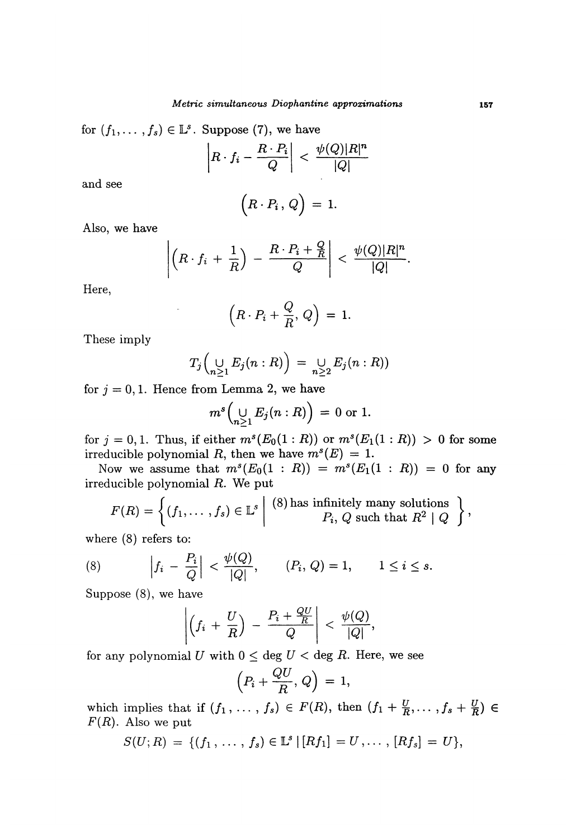for  $(f_1, \ldots, f_s) \in \mathbb{L}^s$ . Suppose (7), we have

$$
\left| R \cdot f_i - \frac{R \cdot P_i}{Q} \right| < \frac{\psi(Q)|R|^n}{|Q|}
$$

and see

$$
(R\cdot P_i,\,Q\big)\,=\,1.
$$

Also, we have

$$
\left|\left(R\cdot f_i+\frac{1}{R}\right)-\frac{R\cdot P_i+\frac{Q}{R}}{Q}\right|<\frac{\psi(Q)|R|^n}{|Q|}.
$$

Here,

$$
\left(R \cdot P_i + \frac{Q}{R}, Q\right) = 1.
$$

These imply

$$
T_j\left(\bigcup_{n\geq 1}E_j(n:R)\right) = \bigcup_{n\geq 2}E_j(n:R)\right)
$$

for  $j = 0, 1$ . Hence from Lemma 2, we have

$$
m^s\left(\bigcup_{n\geq 1}E_j(n:R)\right) = 0 \text{ or } 1.
$$

for  $j = 0, 1$ . Thus, if either  $m^s(E_0(1 : R))$  or  $m^s(E_1(1 : R)) > 0$  for some irreducible polynomial R, then we have  $m^{s}(E) = 1$ .

Now we assume that  $m^s(E_0(1:R)) = m^s(E_1(1:R)) = 0$  for any irreducible polynomial R. We put

$$
F(R) = \left\{ (f_1, \ldots, f_s) \in \mathbb{L}^s \middle| \begin{array}{c} (8) \text{ has infinitely many solutions} \\ P_i, Q \text{ such that } R^2 \mid Q \end{array} \right\},\
$$

where (8) refers to:

(8) 
$$
\left|f_i - \frac{P_i}{Q}\right| < \frac{\psi(Q)}{|Q|}, \qquad (P_i, Q) = 1, \qquad 1 \le i \le s.
$$

Suppose (8), we have

$$
\left|\left(f_i+\frac{U}{R}\right)-\frac{P_i+\frac{QU}{R}}{Q}\right|<\frac{\psi(Q)}{|Q|},
$$

for any polynomial U with  $0 \leq$  deg  $U <$  deg R. Here, we see

$$
\left(P_i+\frac{QU}{R},Q\right)=1,
$$

which implies that if  $(f_1, \ldots, f_s) \in F(R)$ , then  $(f_1 + \frac{U}{R}, \ldots, f_s + \frac{U}{R}) \in$  $F(R)$ . Also we put

$$
S(U;R) = \{ (f_1, \ldots, f_s) \in \mathbb{L}^s \, | \, [Rf_1] = U, \ldots, [Rf_s] = U \},
$$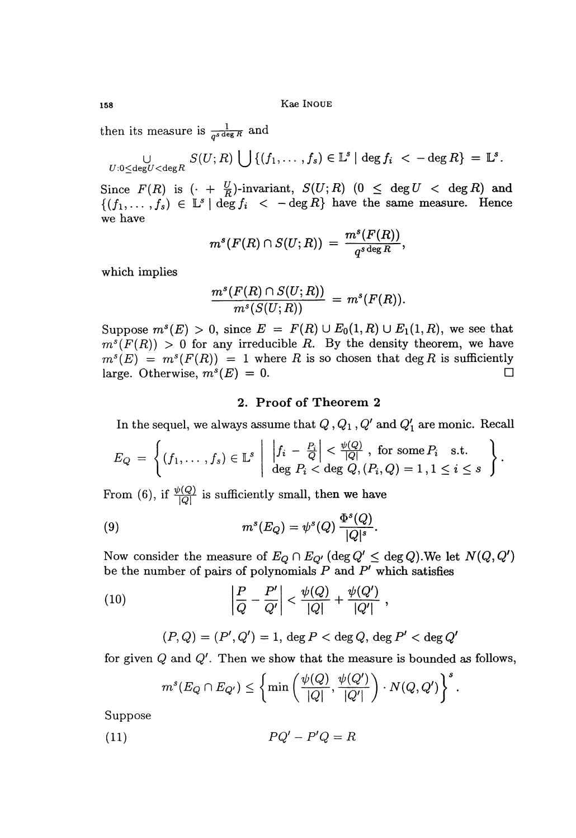Kae INOUE

then its measure is  $\frac{1}{q^s \deg R}$ 

$$
\bigcup_{U: 0 \leq \deg U < \deg R} S(U;R) \bigcup \{(f_1,\ldots,f_s) \in \mathbb{L}^s \mid \deg f_i < -\deg R\} = \mathbb{L}^s.
$$

Since  $F(R)$  is  $\left( \cdot + \frac{U}{R} \right)$ -invariant,  $S(U;R)$   $(0 \leq \deg U < \deg R)$  and  $\{(f_1,\ldots,f_s)\in \mathbb{L}^s\,|\,\deg f_i\ <\ -\deg R\}$  have the same measure. Hence we have

$$
m^s(F(R) \cap S(U;R)) = \frac{m^s(F(R))}{q^{s \deg R}},
$$

which implies

$$
\frac{m^s(F(R)\cap S(U;R))}{m^s(S(U;R))}\,=\,m^s(F(R)).
$$

Suppose  $m^s(E) > 0$ , since  $E = F(R) \cup E_0(1,R) \cup E_1(1,R)$ , we see that  $m^{s}(F(R)) > 0$  for any irreducible R. By the density theorem, we have  $m^{s}(E) = m^{s}(F(R)) = 1$  where R is so chosen that deg R is sufficiently large. Otherwise,  $m^{s}(E) = 0$ . large. Otherwise,  $m^{s}(E) = 0$ .

### 2. Proof of Theorem 2

In the sequel, we always assume that  $Q$ ,  $Q_1$ ,  $Q'$  and  $Q'_1$  are monic. Recall

$$
E_Q = \left\{ (f_1, \ldots, f_s) \in \mathbb{L}^s \middle| \left| \frac{f_i - \frac{P_i}{Q}}{\deg P_i} \right| < \frac{\psi(Q)}{|Q|}, \text{ for some } P_i \text{ s.t. } \deg P_i < \deg Q, (P_i, Q) = 1, 1 \leq i \leq s \right. \right\}.
$$

From (6), if  $\frac{\psi(Q)}{|Q|}$  is sufficiently small, then we have

(9) 
$$
m^s(E_Q) = \psi^s(Q) \frac{\Phi^s(Q)}{|Q|^s}
$$

Now consider the measure of  $E_Q \cap E_{Q'}$  (deg  $Q' \le$  deg Q). We let  $N(Q, Q')$ be the number of pairs of polynomials  $P$  and  $P'$  which satisfies

(10) 
$$
\left| \frac{P}{Q} - \frac{P'}{Q'} \right| < \frac{\psi(Q)}{|Q|} + \frac{\psi(Q')}{|Q'|},
$$

$$
(P,Q) = (P', Q') = 1, \deg P < \deg Q, \deg P' < \deg Q'
$$

for given  $Q$  and  $Q'$ . Then we show that the measure is bounded as follows,

$$
m^{s}(E_Q \cap E_{Q'}) \leq \left\{ \min\left(\frac{\psi(Q)}{|Q|}, \frac{\psi(Q')}{|Q'|}\right) \cdot N(Q, Q') \right\}^{s}.
$$

Suppose

$$
(11)\qquad \qquad PQ'-P'Q=R
$$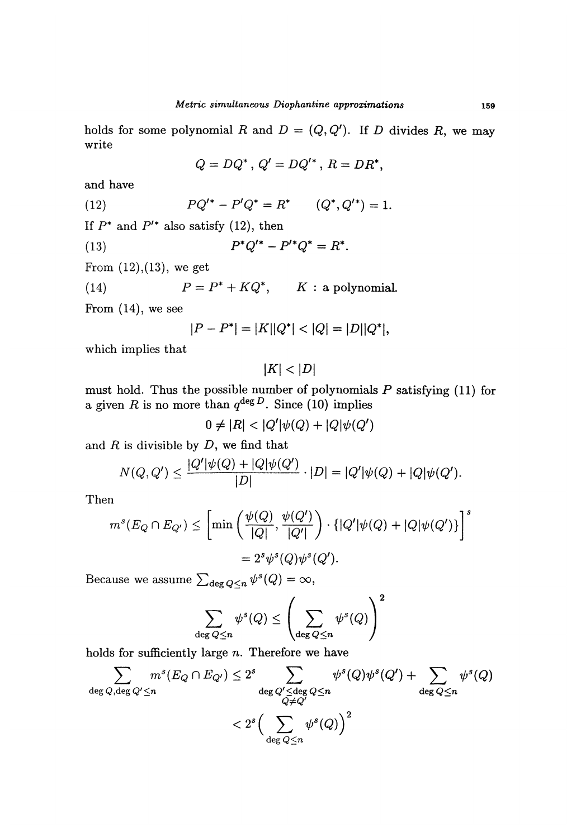holds for some polynomial R and  $D = (Q, Q')$ . If D divides R, we may write

$$
Q = DQ^*, \, Q' = DQ'^*, \, R = DR^*,
$$

and have

(12) 
$$
PQ'^* - P'Q^* = R^* \qquad (Q^*, Q'^*) = 1.
$$

If  $P^*$  and  $P'^*$  also satisfy (12), then

 $P^*Q'^* - P'^*Q^* = R^*$ .  $(13)$ 

From  $(12),(13)$ , we get

(14) 
$$
P = P^* + KQ^*, \qquad K : a polynomial.
$$

From (14), we see

$$
|P - P^*| = |K||Q^*| < |Q| = |D||Q^*|,
$$

which implies that

 $|K| < |D|$ 

must hold. Thus the possible number of polynomials  $P$  satisfying (11) for a given  $R$  is no more than  $q^{\deg D}$ . Since (10) implies

 $0 \neq |R| < |Q'|\psi(Q) + |Q|\psi(Q')$ 

and  $R$  is divisible by  $D$ , we find that

$$
N(Q, Q') \le \frac{|Q'|\psi(Q) + |Q|\psi(Q')|}{|D|} \cdot |D| = |Q'|\psi(Q) + |Q|\psi(Q').
$$

Then

$$
m^{s}(E_{Q} \cap E_{Q'}) \leq \left[ \min \left( \frac{\psi(Q)}{|Q|}, \frac{\psi(Q')}{|Q'|} \right) \cdot \{ |Q'| \psi(Q) + |Q| \psi(Q') \} \right]^{s}
$$
  
=  $2^{s} \psi^{s}(Q) \psi^{s}(Q').$ 

Because we assume  $\sum_{\text{deg }Q\leq n}\psi^s(Q)=\infty$ ,

$$
\sum_{\deg Q \leq n} \psi^s(Q) \leq \left(\sum_{\deg Q \leq n} \psi^s(Q)\right)^2
$$

holds for sufficiently large  $n$ . Therefore we have

$$
\sum_{\deg Q, \deg Q' \le n} m^s(E_Q \cap E_{Q'}) \le 2^s \sum_{\deg Q' \le \deg Q \le n} \psi^s(Q) \psi^s(Q') + \sum_{\deg Q \le n} \psi^s(Q)
$$
  

$$
< 2^s \Big( \sum_{\deg Q \le n} \psi^s(Q) \Big)^2
$$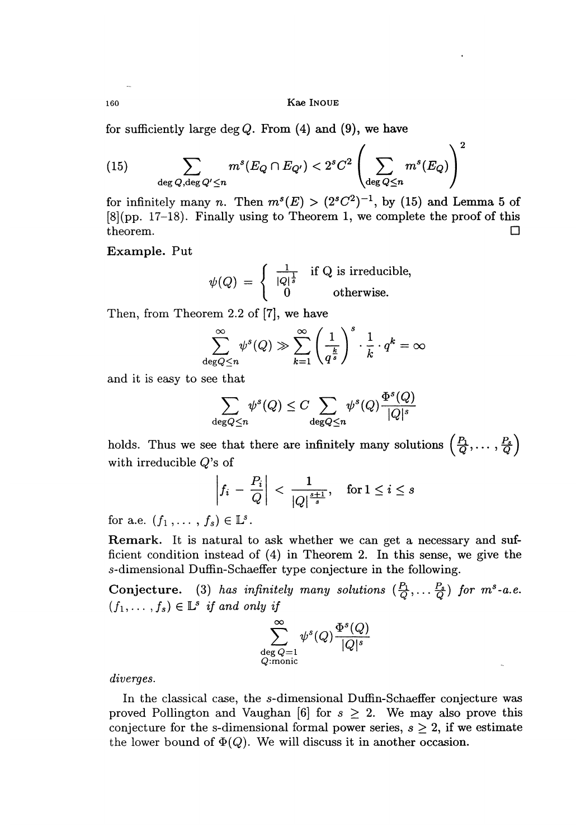Kae Inoue

for sufficiently large deg  $Q$ . From  $(4)$  and  $(9)$ , we have

(15) 
$$
\sum_{\deg Q, \deg Q' \leq n} m^s (E_Q \cap E_{Q'}) < 2^s C^2 \left( \sum_{\deg Q \leq n} m^s (E_Q) \right)^2
$$

for infinitely many n. Then  $m^s(E) > (2^sC^2)^{-1}$ , by (15) and Lemma 5 of [8] (pp. 17-18). Finally using to Theorem 1, we complete the proof of this theorem. theorem.

Example. Put

$$
\psi(Q) = \begin{cases} \frac{1}{|Q|^{\frac{1}{s}}} & \text{if Q is irreducible,} \\ 0 & \text{otherwise.} \end{cases}
$$

Then, from Theorem 2.2 of [7], we have

$$
\sum_{\deg Q \le n}^{\infty} \psi^s(Q) \gg \sum_{k=1}^{\infty} \left(\frac{1}{q^{\frac{k}{s}}}\right)^s \cdot \frac{1}{k} \cdot q^k = \infty
$$

and it is easy to see that

$$
\sum_{\deg Q \leq n} \psi^s(Q) \leq C \sum_{\deg Q \leq n} \psi^s(Q) \frac{\Phi^s(Q)}{|Q|^s}
$$

holds. Thus we see that there are infinitely many solutions  $\left(\frac{P_1}{Q},\ldots,\frac{P_s}{Q}\right)$ with irreducible  $Q$ 's of

$$
\left|f_i - \frac{P_i}{Q}\right| < \frac{1}{|Q|^{\frac{s+1}{s}}}, \quad \text{for } 1 \le i \le s
$$

for a.e.  $(f_1, \ldots, f_s) \in \mathbb{L}^s$ .

Remark. It is natural to ask whether we can get a necessary and sufficient condition instead of (4) in Theorem 2. In this sense, we give the s-dimensional Duffin-Schaeffer type conjecture in the following.

Conjecture. (3) has infinitely many solutions  $(\frac{P_1}{Q}, \ldots \frac{P_s}{Q})$  for  $m^s$ -a.e.  $(f_1,\ldots,f_s) \in \mathbb{L}^s$  if and only if



diverges.

In the classical case, the s-dimensional Duffin-Schaeffer conjecture was proved Pollington and Vaughan [6] for  $s \geq 2$ . We may also prove this conjecture for the s-dimensional formal power series,  $s \geq 2$ , if we estimate the lower bound of  $\Phi(Q)$ . We will discuss it in another occasion.